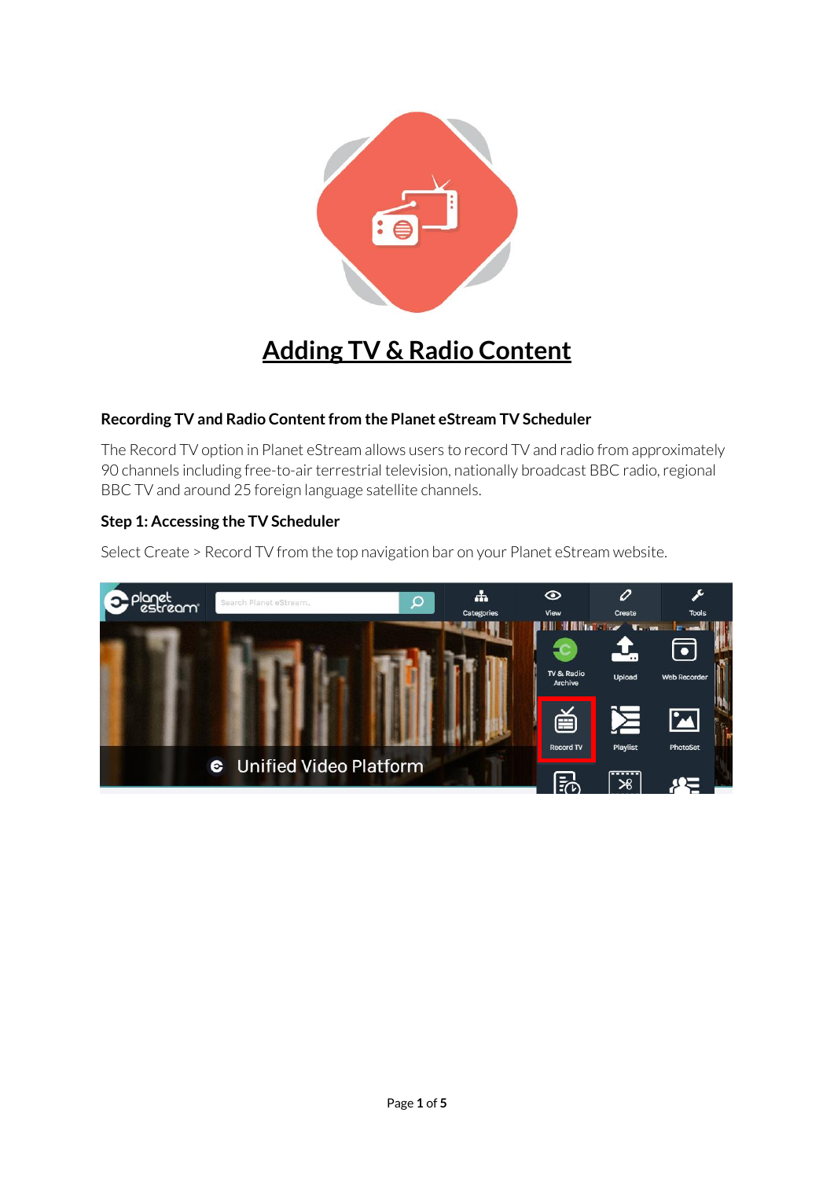

# **Adding TV & Radio Content**

# **Recording TV and Radio Content from the Planet eStream TV Scheduler**

The Record TV option in Planet eStream allows users to record TV and radio from approximately 90 channels including free-to-air terrestrial television, nationally broadcast BBC radio, regional BBC TV and around 25 foreign language satellite channels.

# **Step 1: Accessing the TV Scheduler**

Select Create > Record TV from the top navigation bar on your Planet eStream website.

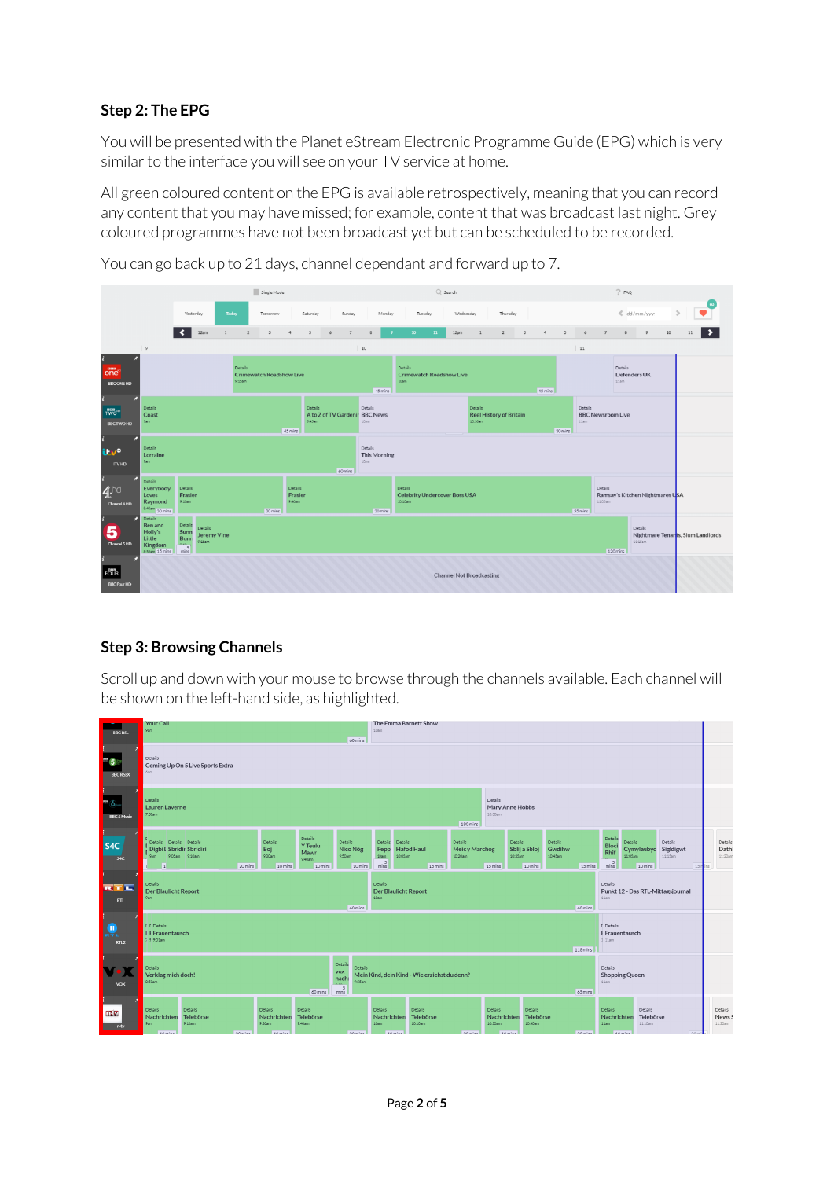# **Step 2: The EPG**

You will be presented with the Planet eStream Electronic Programme Guide (EPG) which is very similar to the interface you will see on your TV service at home.

All green coloured content on the EPG is available retrospectively, meaning that you can record any content that you may have missed; for example, content that was broadcast last night. Grey coloured programmes have not been broadcast yet but can be scheduled to be recorded.



You can go back up to 21 days, channel dependant and forward up to 7.

## **Step 3: Browsing Channels**

Scroll up and down with your mouse to browse through the channels available. Each channel will be shown on the left-hand side, as highlighted.

| <b>BBCRSL</b>                       | <b>Your Call</b><br>9am                                                                                                                                                                                                                           | The Emma Barnett Show<br>10 <sub>am</sub>                                                                                                                                                                                                                            |                                                                                                                                                                                                 |                             |  |  |
|-------------------------------------|---------------------------------------------------------------------------------------------------------------------------------------------------------------------------------------------------------------------------------------------------|----------------------------------------------------------------------------------------------------------------------------------------------------------------------------------------------------------------------------------------------------------------------|-------------------------------------------------------------------------------------------------------------------------------------------------------------------------------------------------|-----------------------------|--|--|
| $^{\circ\circ}$ 5<br><b>BBCR5SX</b> | 60 mins<br>Details<br>Coming Up On 5 Live Sports Extra<br>dam                                                                                                                                                                                     |                                                                                                                                                                                                                                                                      |                                                                                                                                                                                                 |                             |  |  |
| ■6.<br>BBC 6 Music                  | <b>Details</b><br><b>Lauren Laverne</b><br>7:30am                                                                                                                                                                                                 | Details<br>Mary Anne Hobbs<br>10:30am<br>180 mins                                                                                                                                                                                                                    |                                                                                                                                                                                                 |                             |  |  |
| S4C<br><b>SAC</b>                   | Details<br>Details Details Details<br>Details<br>Details<br>Y Teulu<br>Digbi I Sbridir Sbridiri<br>Boj<br>Nico Nôg<br>Mawr<br>9am 9:05am 9:10am<br>9:50am<br>9:30am<br>9:40am<br>$\sqrt{1}$<br>20 mins<br>10 mins<br>10 mins<br>10 mins           | Details<br>Details<br>Details<br><b>Details</b><br>Details<br>Gwdihw<br>Pepp<br><b>Hafod Haul</b><br>Meic y Marchog<br>Sblij a Sbloj<br>10:20am<br>10:35am<br>10:45am<br>10 <sub>am</sub><br>10:05am<br>min <sub>5</sub><br>15 mins<br>15 mins<br>10 mins<br>15 mins | Details<br>Details<br><b>Details</b><br><b>Bloci</b><br>Cymylaubyc<br>Sigldigwt<br><b>Rhif</b><br>11:05am<br>11:15am<br><b>Contract Contract</b><br>5<br>10 mins<br>15 <sub>r</sub> ins<br>mins | Details<br>Dathl<br>11:30am |  |  |
| RTE<br>RTL                          | Details<br><b>Der Blaulicht Report</b><br>9am<br>60 mins                                                                                                                                                                                          | Details<br><b>Der Blaulicht Report</b><br>10am<br>60 mins                                                                                                                                                                                                            | Details<br>Punkt 12 - Das RTL-Mittagsjournal<br>11am                                                                                                                                            |                             |  |  |
| A.<br>RTL2                          | I I Details<br><b>C</b> Details<br>I I Frauentausch<br>I Frauentausch<br>1.5.901am<br>$1.11$ am<br>118 mins                                                                                                                                       |                                                                                                                                                                                                                                                                      |                                                                                                                                                                                                 |                             |  |  |
| <b>VOX</b>                          | Details<br>Details<br>Details<br>Details<br><b>VOX</b><br>Verklag mich doch!<br>Mein Kind, dein Kind - Wie erziehst du denn?<br><b>Shopping Queen</b><br>nachi<br>8:50am<br>9:55am<br>11am<br>$\lambda$<br>min <sub>s</sub><br>60 mins<br>65 mins |                                                                                                                                                                                                                                                                      |                                                                                                                                                                                                 |                             |  |  |
| пŃ<br>n-tv                          | Details<br>Details<br>Details<br>Details<br>Telebörse<br>Telebörse<br>Nachrichten<br>Nachrichten<br>9:30am<br>9:10am<br>9:40am<br>9am                                                                                                             | Details<br>Details<br><b>Details</b><br><b>Details</b><br>Nachrichten<br>Telebörse<br>Nachrichten<br>Telebörse<br>10:10am<br>10:30am<br>10:40am<br>10am                                                                                                              | <b>Details</b><br>Details<br>Details<br>News S<br>Nachrichten<br>Telebörse<br>11:10am<br>$11:30$ am<br>11am                                                                                     |                             |  |  |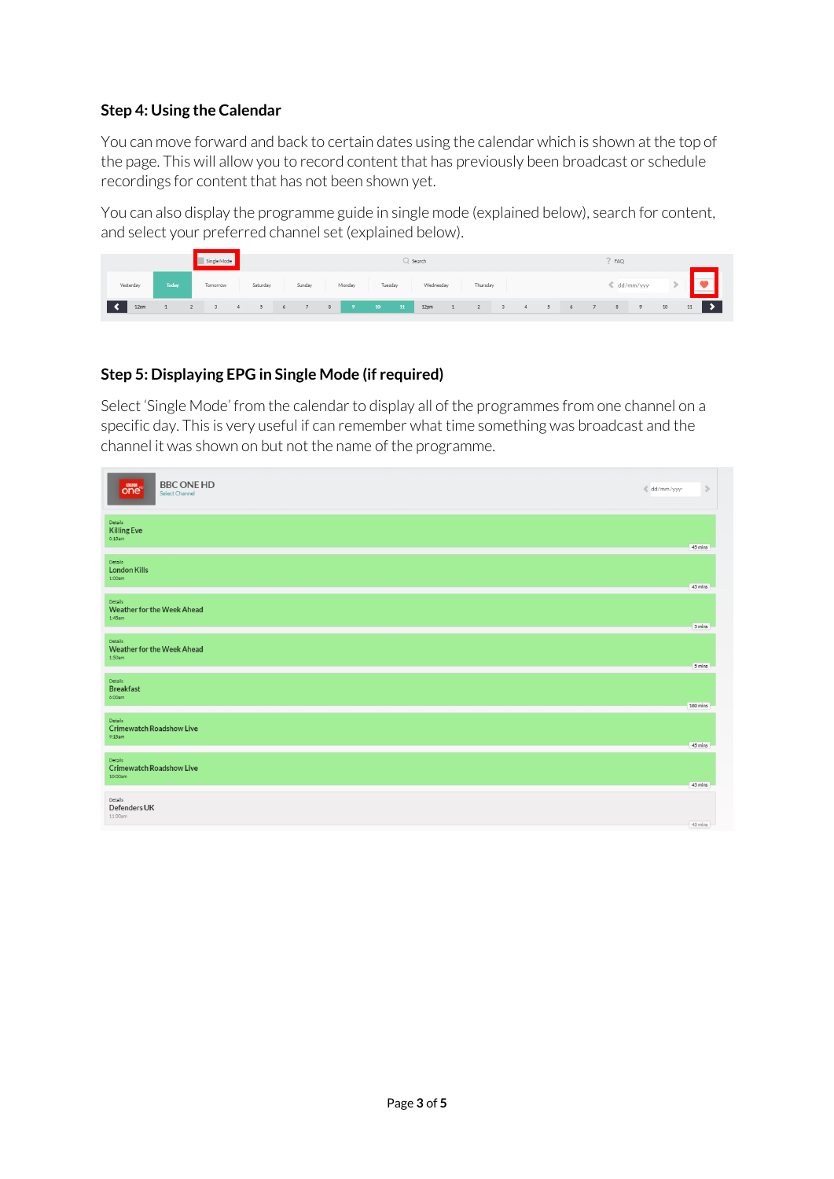## **Step 4: Using the Calendar**

You can move forward and back to certain dates using the calendar which is shown at the top of the page. This will allow you to record content that has previously been broadcast or schedule recordings for content that has not been shown yet.

You can also display the programme guide in single mode (explained below), search for content, and select your preferred channel set (explained below).

|                    | Single Mode                                                                                                                                                                          |          |        |        |                                                                                                      | $\supseteq$ Search |                   |  | FAQ |           |    |    |
|--------------------|--------------------------------------------------------------------------------------------------------------------------------------------------------------------------------------|----------|--------|--------|------------------------------------------------------------------------------------------------------|--------------------|-------------------|--|-----|-----------|----|----|
| Yesterday<br>Today | Tomorrow                                                                                                                                                                             | Saturday | Sunday | Monday | Tuesday                                                                                              | Wednesday          | Thursday          |  |     | dd/mm/yyy |    |    |
| 12am               | $\begin{array}{cccccccccccccc} 1 & \hspace{1.5cm} 2 & \hspace{1.5cm} 3 & \hspace{1.5cm} 4 & \hspace{1.5cm} 5 & \hspace{1.5cm} 6 & \hspace{1.5cm} 7 & \hspace{1.5cm} 8 & \end{array}$ |          |        |        | $\begin{array}{ c c c c c c c c c } \hline \quad & 9 & \quad & 10 & \quad & 11 \ \hline \end{array}$ | 12 <sub>pm</sub>   | 1 2 3 4 5 6 7 8 9 |  |     |           | 10 | 11 |

### **Step 5: Displaying EPG in Single Mode (if required)**

Select 'Single Mode' from the calendar to display all of the programmes from one channel on a specific day. This is very useful if can remember what time something was broadcast and the channel it was shown on but not the name of the programme.

| <b>BBC ONE HD</b><br>008<br>one <sup>®</sup><br>Select Channel | $\, > \,$<br>dd/mm/yyy: |
|----------------------------------------------------------------|-------------------------|
| Details<br><b>Killing Eve</b><br>0:15am                        | 45 mins                 |
| Details<br><b>London Kills</b><br>$1:00$ am                    | 45 mins                 |
| Details<br>Weather for the Week Ahead<br>1:45am                |                         |
| Details<br><b>Weather for the Week Ahead</b><br>1:50am         | 5 mins                  |
| Details<br><b>Breakfast</b><br>6:00am                          | 5 mins                  |
| Details<br><b>Crimewatch Roadshow Live</b><br>9:15am           | 180 mins                |
| Details<br><b>Crimewatch Roadshow Live</b><br>$10:00$ am       | 45 mins                 |
| Details<br>Defenders UK<br>11:00am                             | 45 mins                 |
|                                                                | 45 mins                 |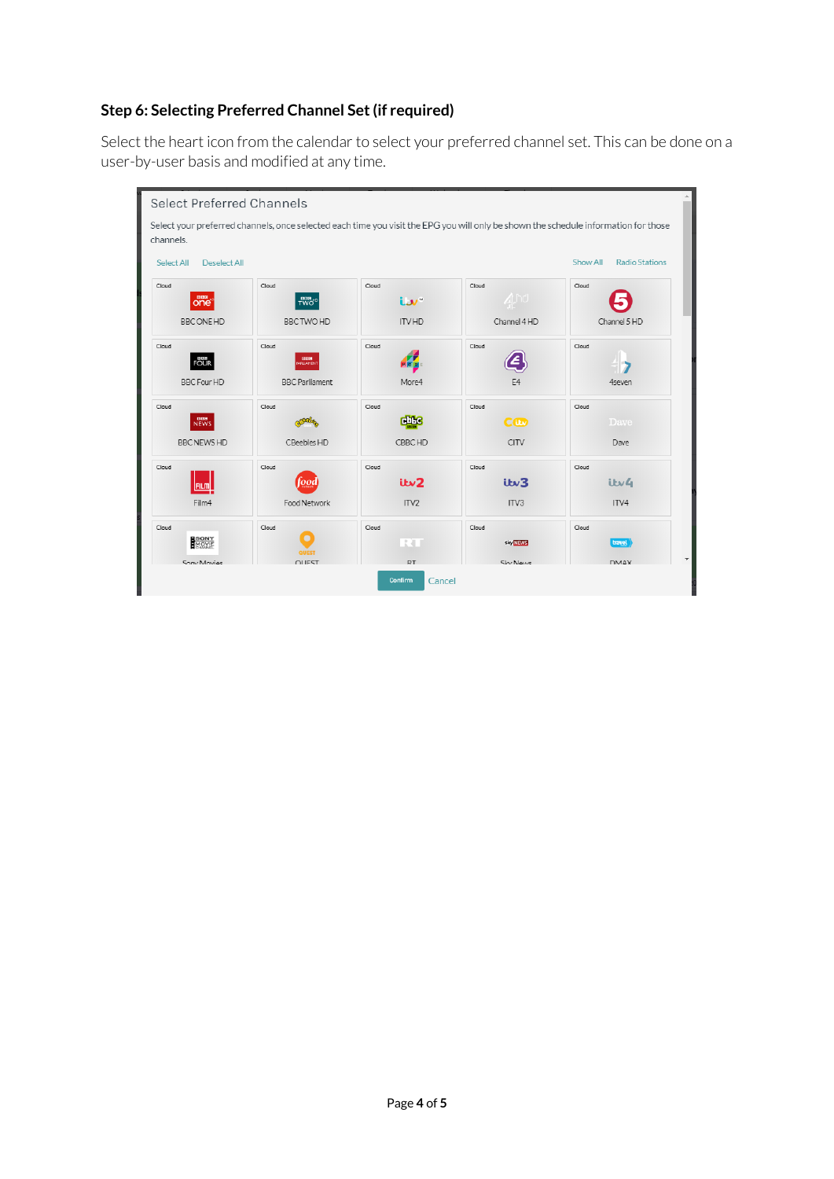# **Step 6: Selecting Preferred Channel Set (if required)**

Select the heart icon from the calendar to select your preferred channel set. This can be done on a user-by-user basis and modified at any time.